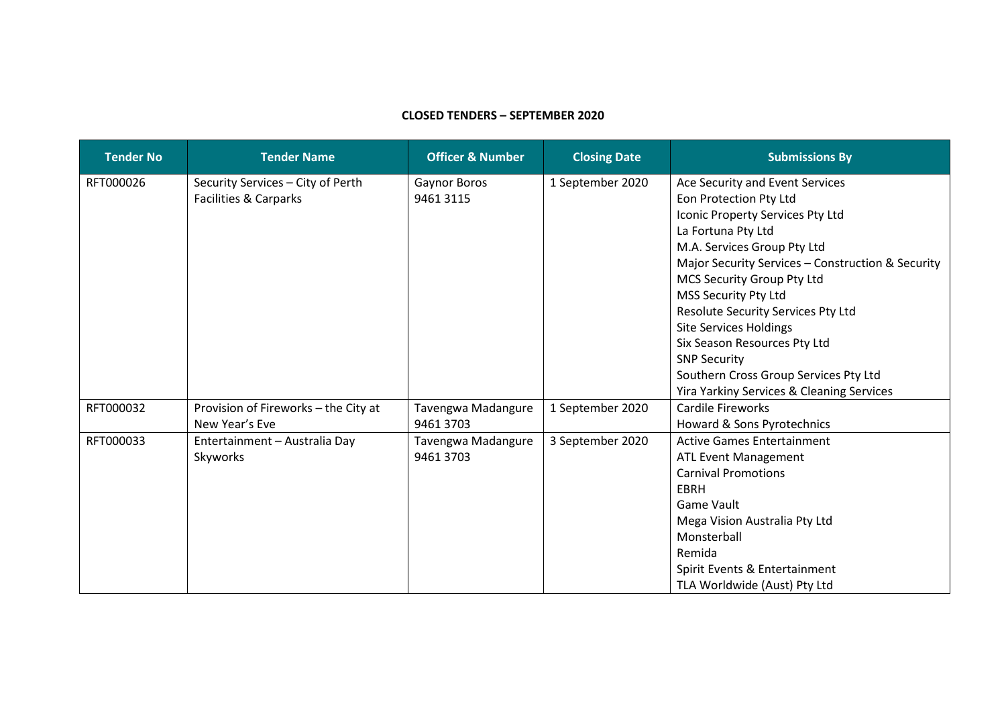## **CLOSED TENDERS – SEPTEMBER 2020**

| <b>Tender No</b> | <b>Tender Name</b>                   | <b>Officer &amp; Number</b> | <b>Closing Date</b> | <b>Submissions By</b>                             |
|------------------|--------------------------------------|-----------------------------|---------------------|---------------------------------------------------|
| RFT000026        | Security Services - City of Perth    | Gaynor Boros                | 1 September 2020    | Ace Security and Event Services                   |
|                  | Facilities & Carparks                | 9461 3115                   |                     | Eon Protection Pty Ltd                            |
|                  |                                      |                             |                     | Iconic Property Services Pty Ltd                  |
|                  |                                      |                             |                     | La Fortuna Pty Ltd                                |
|                  |                                      |                             |                     | M.A. Services Group Pty Ltd                       |
|                  |                                      |                             |                     | Major Security Services - Construction & Security |
|                  |                                      |                             |                     | MCS Security Group Pty Ltd                        |
|                  |                                      |                             |                     | MSS Security Pty Ltd                              |
|                  |                                      |                             |                     | Resolute Security Services Pty Ltd                |
|                  |                                      |                             |                     | <b>Site Services Holdings</b>                     |
|                  |                                      |                             |                     | Six Season Resources Pty Ltd                      |
|                  |                                      |                             |                     | <b>SNP Security</b>                               |
|                  |                                      |                             |                     | Southern Cross Group Services Pty Ltd             |
|                  |                                      |                             |                     | Yira Yarkiny Services & Cleaning Services         |
| RFT000032        | Provision of Fireworks - the City at | Tavengwa Madangure          | 1 September 2020    | <b>Cardile Fireworks</b>                          |
|                  | New Year's Eve                       | 9461 3703                   |                     | Howard & Sons Pyrotechnics                        |
| RFT000033        | Entertainment - Australia Day        | Tavengwa Madangure          | 3 September 2020    | <b>Active Games Entertainment</b>                 |
|                  | Skyworks                             | 9461 3703                   |                     | <b>ATL Event Management</b>                       |
|                  |                                      |                             |                     | <b>Carnival Promotions</b>                        |
|                  |                                      |                             |                     | <b>EBRH</b>                                       |
|                  |                                      |                             |                     | <b>Game Vault</b>                                 |
|                  |                                      |                             |                     | Mega Vision Australia Pty Ltd                     |
|                  |                                      |                             |                     | Monsterball                                       |
|                  |                                      |                             |                     | Remida                                            |
|                  |                                      |                             |                     | Spirit Events & Entertainment                     |
|                  |                                      |                             |                     | TLA Worldwide (Aust) Pty Ltd                      |